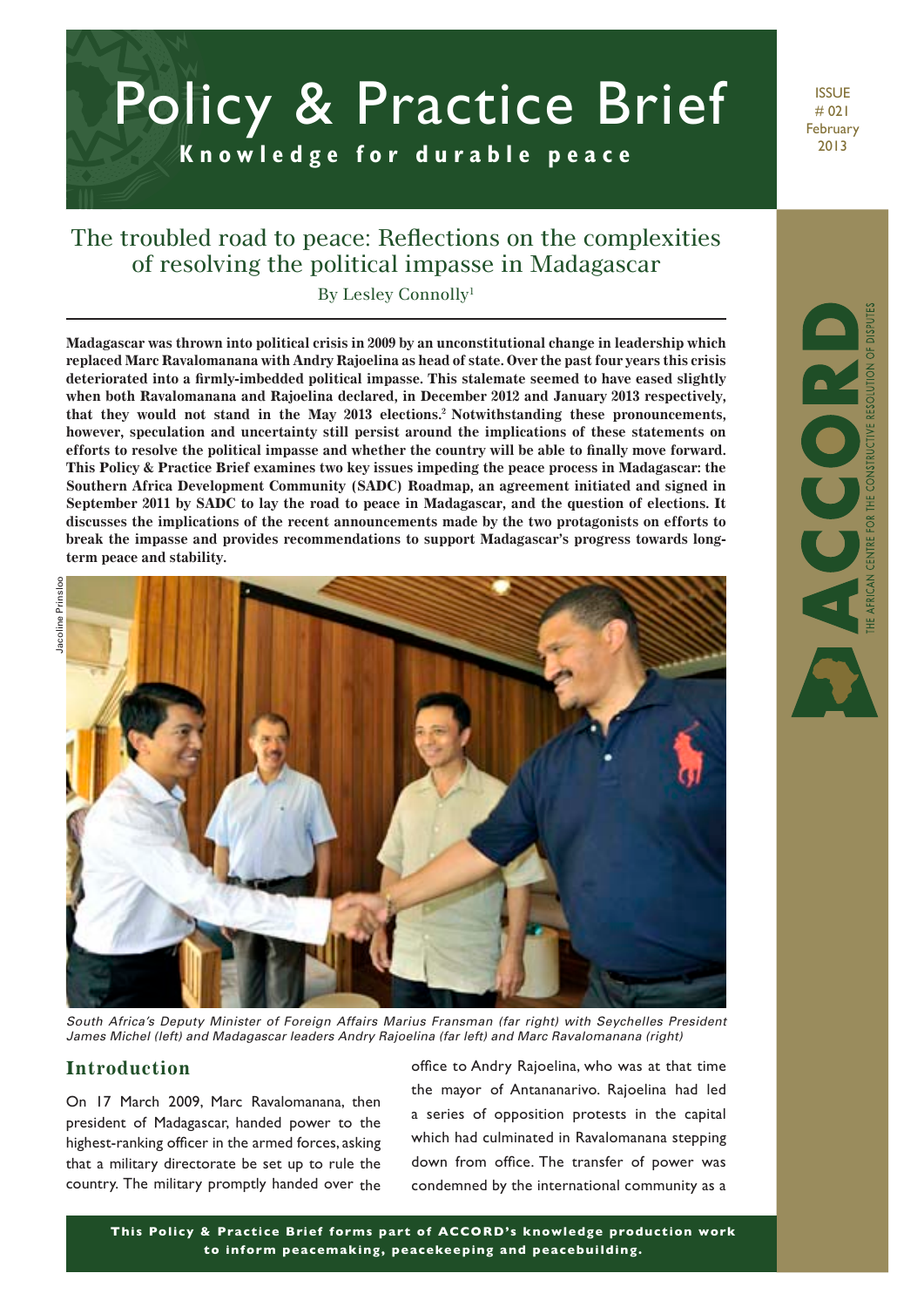# **K n o w l e d g e f o r d u r a b l e p e a c e** Policy & Practice Brief

**ISSUE** # 021 February 2013

AFRICAN CENTRE FOR THE CONSTRUCTIVE RESOLUTION OF DISPUTE

## The troubled road to peace: Reflections on the complexities of resolving the political impasse in Madagascar

By Lesley Connolly1

**Madagascar was thrown into political crisis in 2009 by an unconstitutional change in leadership which replaced Marc Ravalomanana with Andry Rajoelina as head of state. Over the past four years this crisis deteriorated into a firmly-imbedded political impasse. This stalemate seemed to have eased slightly when both Ravalomanana and Rajoelina declared, in December 2012 and January 2013 respectively, that they would not stand in the May 2013 elections.2 Notwithstanding these pronouncements, however, speculation and uncertainty still persist around the implications of these statements on efforts to resolve the political impasse and whether the country will be able to finally move forward. This Policy & Practice Brief examines two key issues impeding the peace process in Madagascar: the Southern Africa Development Community (SADC) Roadmap, an agreement initiated and signed in September 2011 by SADC to lay the road to peace in Madagascar, and the question of elections. It discusses the implications of the recent announcements made by the two protagonists on efforts to break the impasse and provides recommendations to support Madagascar's progress towards longterm peace and stability.**



*South Africa's Deputy Minister of Foreign Affairs Marius Fransman (far right) with Seychelles President James Michel (left) and Madagascar leaders Andry Rajoelina (far left) and Marc Ravalomanana (right)*

#### **Introduction**

On 17 March 2009, Marc Ravalomanana, then president of Madagascar, handed power to the highest-ranking officer in the armed forces, asking that a military directorate be set up to rule the country. The military promptly handed over the

office to Andry Rajoelina, who was at that time the mayor of Antananarivo. Rajoelina had led a series of opposition protests in the capital which had culminated in Ravalomanana stepping down from office. The transfer of power was condemned by the international community as a

**This Policy & Practice Brief forms part of ACCORD's knowledge production work to inform peacemaking, peacekeeping and peacebuilding.**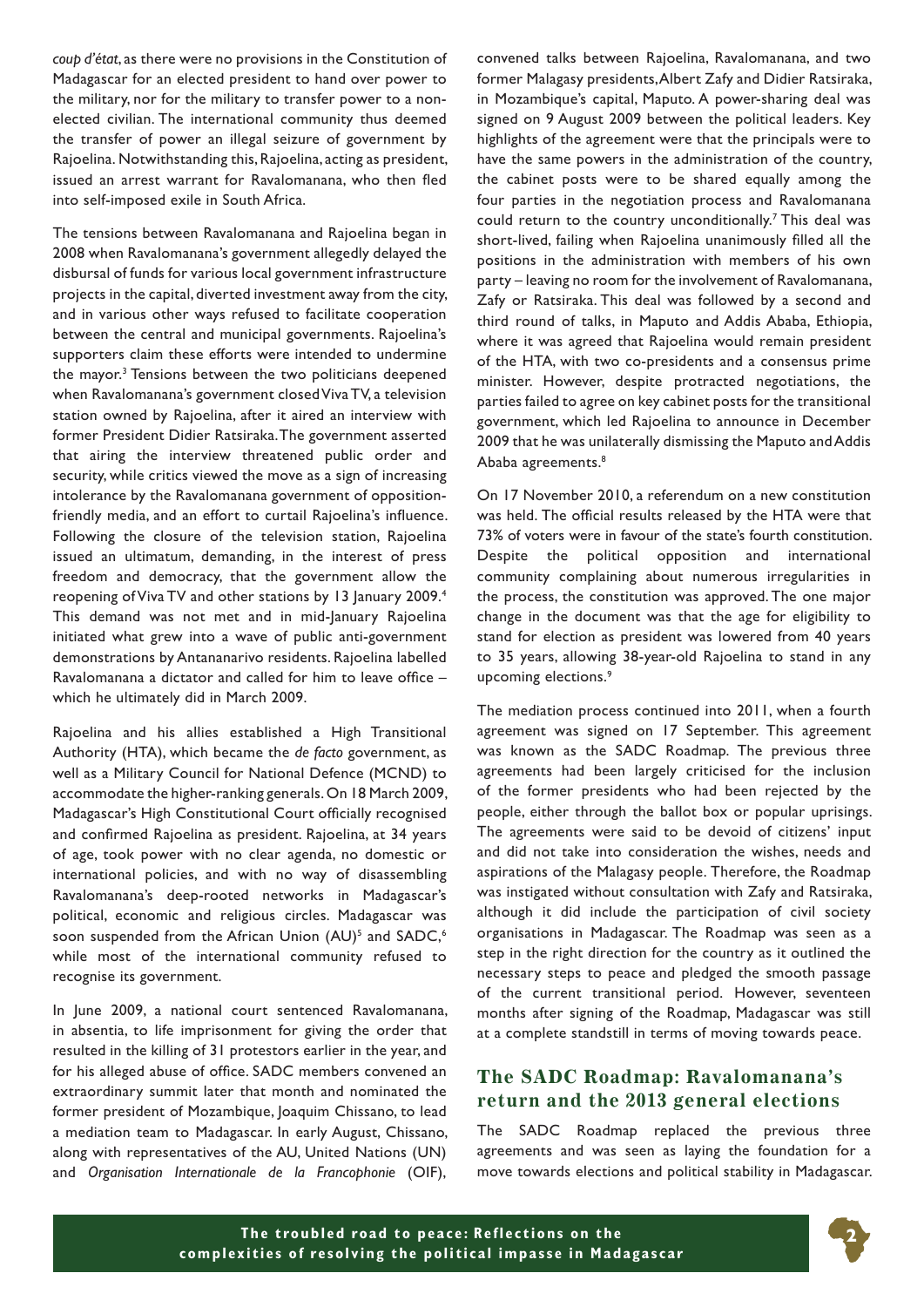*coup d'état*, as there were no provisions in the Constitution of Madagascar for an elected president to hand over power to the military, nor for the military to transfer power to a nonelected civilian. The international community thus deemed the transfer of power an illegal seizure of government by Rajoelina. Notwithstanding this, Rajoelina, acting as president, issued an arrest warrant for Ravalomanana, who then fled into self-imposed exile in South Africa.

The tensions between Ravalomanana and Rajoelina began in 2008 when Ravalomanana's government allegedly delayed the disbursal of funds for various local government infrastructure projects in the capital, diverted investment away from the city, and in various other ways refused to facilitate cooperation between the central and municipal governments. Rajoelina's supporters claim these efforts were intended to undermine the mayor.<sup>3</sup> Tensions between the two politicians deepened when Ravalomanana's government closed Viva TV, a television station owned by Rajoelina, after it aired an interview with former President Didier Ratsiraka. The government asserted that airing the interview threatened public order and security, while critics viewed the move as a sign of increasing intolerance by the Ravalomanana government of oppositionfriendly media, and an effort to curtail Rajoelina's influence. Following the closure of the television station, Rajoelina issued an ultimatum, demanding, in the interest of press freedom and democracy, that the government allow the reopening of Viva TV and other stations by 13 January 2009.<sup>4</sup> This demand was not met and in mid-January Rajoelina initiated what grew into a wave of public anti-government demonstrations by Antananarivo residents. Rajoelina labelled Ravalomanana a dictator and called for him to leave office – which he ultimately did in March 2009.

Rajoelina and his allies established a High Transitional Authority (HTA), which became the *de facto* government, as well as a Military Council for National Defence (MCND) to accommodate the higher-ranking generals. On 18 March 2009, Madagascar's High Constitutional Court officially recognised and confirmed Rajoelina as president. Rajoelina, at 34 years of age, took power with no clear agenda, no domestic or international policies, and with no way of disassembling Ravalomanana's deep-rooted networks in Madagascar's political, economic and religious circles. Madagascar was soon suspended from the African Union (AU)<sup>5</sup> and SADC,<sup>6</sup> while most of the international community refused to recognise its government.

In June 2009, a national court sentenced Ravalomanana, in absentia, to life imprisonment for giving the order that resulted in the killing of 31 protestors earlier in the year, and for his alleged abuse of office. SADC members convened an extraordinary summit later that month and nominated the former president of Mozambique, Joaquim Chissano, to lead a mediation team to Madagascar. In early August, Chissano, along with representatives of the AU, United Nations (UN) and *Organisation Internationale de la Francophonie* (OIF),

convened talks between Rajoelina, Ravalomanana, and two former Malagasy presidents, Albert Zafy and Didier Ratsiraka, in Mozambique's capital, Maputo. A power-sharing deal was signed on 9 August 2009 between the political leaders. Key highlights of the agreement were that the principals were to have the same powers in the administration of the country, the cabinet posts were to be shared equally among the four parties in the negotiation process and Ravalomanana could return to the country unconditionally.<sup>7</sup> This deal was short-lived, failing when Rajoelina unanimously filled all the positions in the administration with members of his own party – leaving no room for the involvement of Ravalomanana, Zafy or Ratsiraka. This deal was followed by a second and third round of talks, in Maputo and Addis Ababa, Ethiopia, where it was agreed that Rajoelina would remain president of the HTA, with two co-presidents and a consensus prime minister. However, despite protracted negotiations, the parties failed to agree on key cabinet posts for the transitional government, which led Rajoelina to announce in December 2009 that he was unilaterally dismissing the Maputo and Addis Ababa agreements.<sup>8</sup>

On 17 November 2010, a referendum on a new constitution was held. The official results released by the HTA were that 73% of voters were in favour of the state's fourth constitution. Despite the political opposition and international community complaining about numerous irregularities in the process, the constitution was approved. The one major change in the document was that the age for eligibility to stand for election as president was lowered from 40 years to 35 years, allowing 38-year-old Rajoelina to stand in any upcoming elections.9

The mediation process continued into 2011, when a fourth agreement was signed on 17 September. This agreement was known as the SADC Roadmap. The previous three agreements had been largely criticised for the inclusion of the former presidents who had been rejected by the people, either through the ballot box or popular uprisings. The agreements were said to be devoid of citizens' input and did not take into consideration the wishes, needs and aspirations of the Malagasy people. Therefore, the Roadmap was instigated without consultation with Zafy and Ratsiraka, although it did include the participation of civil society organisations in Madagascar. The Roadmap was seen as a step in the right direction for the country as it outlined the necessary steps to peace and pledged the smooth passage of the current transitional period. However, seventeen months after signing of the Roadmap, Madagascar was still at a complete standstill in terms of moving towards peace.

### **The SADC Roadmap: Ravalomanana's return and the 2013 general elections**

The SADC Roadmap replaced the previous three agreements and was seen as laying the foundation for a move towards elections and political stability in Madagascar.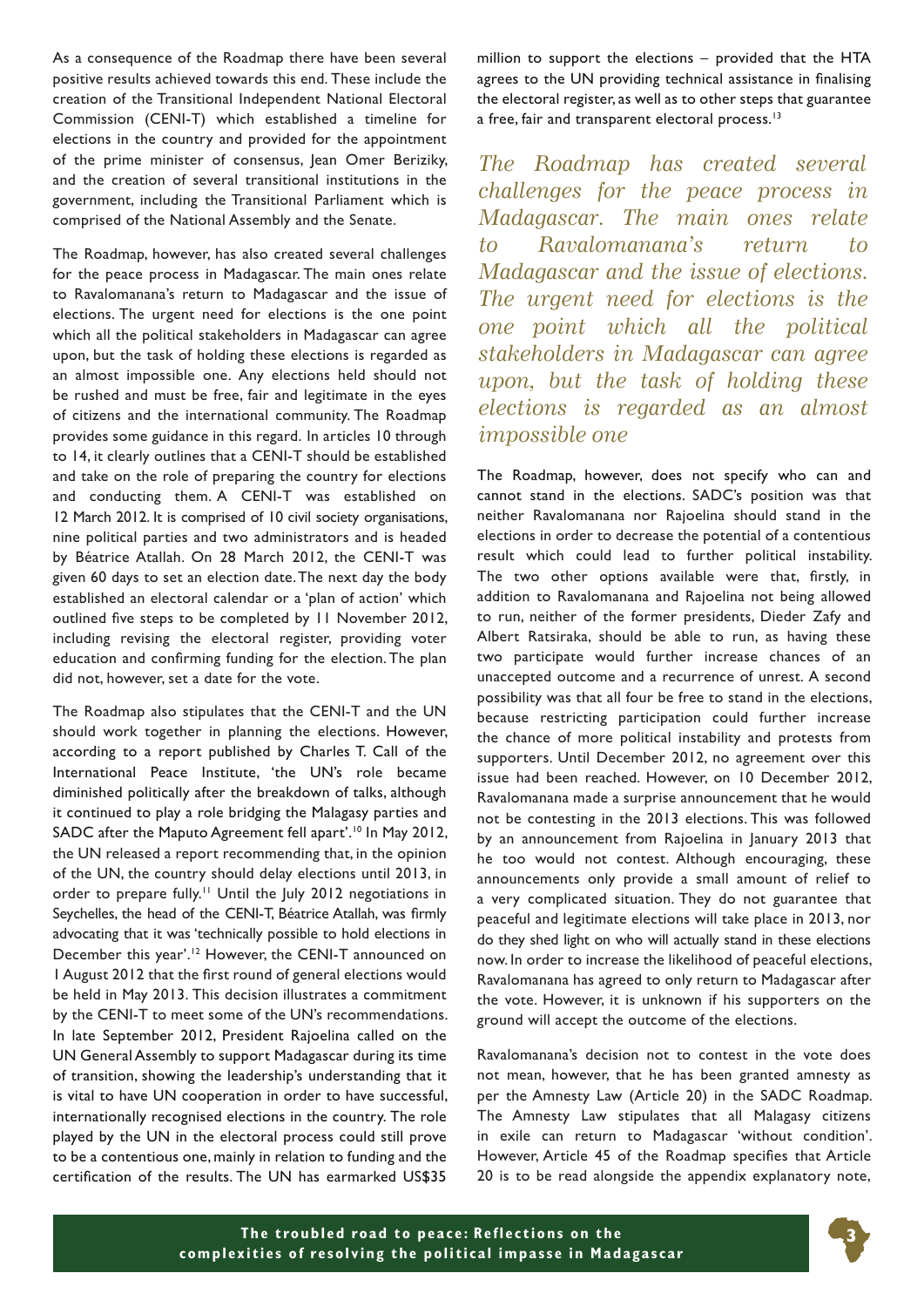As a consequence of the Roadmap there have been several positive results achieved towards this end. These include the creation of the Transitional Independent National Electoral Commission (CENI-T) which established a timeline for elections in the country and provided for the appointment of the prime minister of consensus, Jean Omer Beriziky, and the creation of several transitional institutions in the government, including the Transitional Parliament which is comprised of the National Assembly and the Senate.

The Roadmap, however, has also created several challenges for the peace process in Madagascar. The main ones relate to Ravalomanana's return to Madagascar and the issue of elections. The urgent need for elections is the one point which all the political stakeholders in Madagascar can agree upon, but the task of holding these elections is regarded as an almost impossible one. Any elections held should not be rushed and must be free, fair and legitimate in the eyes of citizens and the international community. The Roadmap provides some guidance in this regard. In articles 10 through to 14, it clearly outlines that a CENI-T should be established and take on the role of preparing the country for elections and conducting them. A CENI-T was established on 12 March 2012. It is comprised of 10 civil society organisations, nine political parties and two administrators and is headed by Béatrice Atallah. On 28 March 2012, the CENI-T was given 60 days to set an election date. The next day the body established an electoral calendar or a 'plan of action' which outlined five steps to be completed by 11 November 2012, including revising the electoral register, providing voter education and confirming funding for the election. The plan did not, however, set a date for the vote.

The Roadmap also stipulates that the CENI-T and the UN should work together in planning the elections. However, according to a report published by Charles T. Call of the International Peace Institute, 'the UN's role became diminished politically after the breakdown of talks, although it continued to play a role bridging the Malagasy parties and SADC after the Maputo Agreement fell apart'.<sup>10</sup> In May 2012, the UN released a report recommending that, in the opinion of the UN, the country should delay elections until 2013, in order to prepare fully.<sup>11</sup> Until the July 2012 negotiations in Seychelles, the head of the CENI-T, Béatrice Atallah, was firmly advocating that it was 'technically possible to hold elections in December this year'.<sup>12</sup> However, the CENI-T announced on 1 August 2012 that the first round of general elections would be held in May 2013. This decision illustrates a commitment by the CENI-T to meet some of the UN's recommendations. In late September 2012, President Rajoelina called on the UN General Assembly to support Madagascar during its time of transition, showing the leadership's understanding that it is vital to have UN cooperation in order to have successful, internationally recognised elections in the country. The role played by the UN in the electoral process could still prove to be a contentious one, mainly in relation to funding and the certification of the results. The UN has earmarked US\$35

million to support the elections – provided that the HTA agrees to the UN providing technical assistance in finalising the electoral register, as well as to other steps that guarantee a free, fair and transparent electoral process.<sup>13</sup>

*The Roadmap has created several challenges for the peace process in Madagascar. The main ones relate to Ravalomanana's return to Madagascar and the issue of elections. The urgent need for elections is the one point which all the political stakeholders in Madagascar can agree upon, but the task of holding these elections is regarded as an almost impossible one*

The Roadmap, however, does not specify who can and cannot stand in the elections. SADC's position was that neither Ravalomanana nor Rajoelina should stand in the elections in order to decrease the potential of a contentious result which could lead to further political instability. The two other options available were that, firstly, in addition to Ravalomanana and Rajoelina not being allowed to run, neither of the former presidents, Dieder Zafy and Albert Ratsiraka, should be able to run, as having these two participate would further increase chances of an unaccepted outcome and a recurrence of unrest. A second possibility was that all four be free to stand in the elections, because restricting participation could further increase the chance of more political instability and protests from supporters. Until December 2012, no agreement over this issue had been reached. However, on 10 December 2012, Ravalomanana made a surprise announcement that he would not be contesting in the 2013 elections. This was followed by an announcement from Rajoelina in January 2013 that he too would not contest. Although encouraging, these announcements only provide a small amount of relief to a very complicated situation. They do not guarantee that peaceful and legitimate elections will take place in 2013, nor do they shed light on who will actually stand in these elections now. In order to increase the likelihood of peaceful elections, Ravalomanana has agreed to only return to Madagascar after the vote. However, it is unknown if his supporters on the ground will accept the outcome of the elections.

Ravalomanana's decision not to contest in the vote does not mean, however, that he has been granted amnesty as per the Amnesty Law (Article 20) in the SADC Roadmap. The Amnesty Law stipulates that all Malagasy citizens in exile can return to Madagascar 'without condition'. However, Article 45 of the Roadmap specifies that Article 20 is to be read alongside the appendix explanatory note,

**3**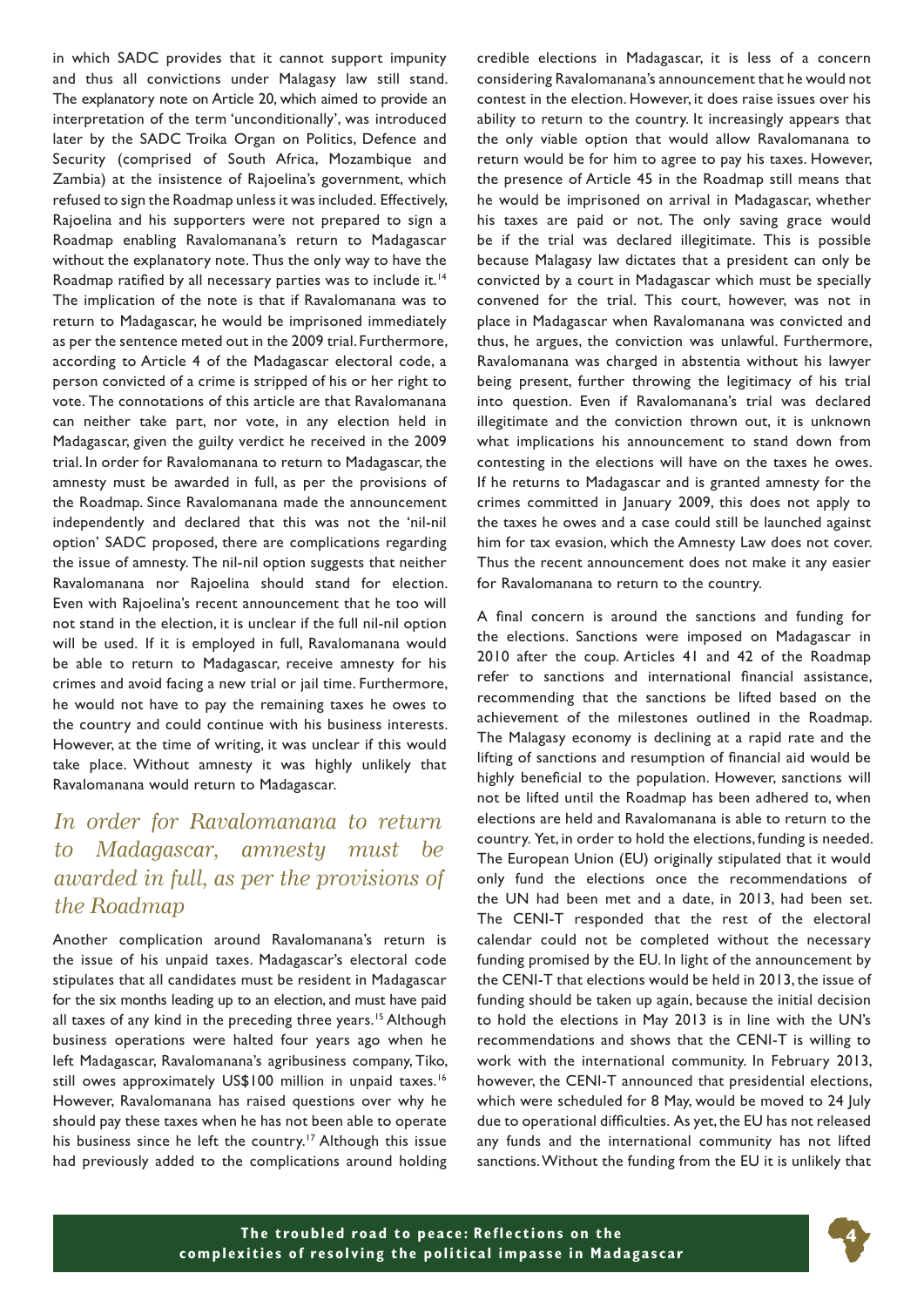in which SADC provides that it cannot support impunity and thus all convictions under Malagasy law still stand. The explanatory note on Article 20, which aimed to provide an interpretation of the term 'unconditionally', was introduced later by the SADC Troika Organ on Politics, Defence and Security (comprised of South Africa, Mozambique and Zambia) at the insistence of Rajoelina's government, which refused to sign the Roadmap unless it was included. Effectively, Rajoelina and his supporters were not prepared to sign a Roadmap enabling Ravalomanana's return to Madagascar without the explanatory note. Thus the only way to have the Roadmap ratified by all necessary parties was to include it.<sup>14</sup> The implication of the note is that if Ravalomanana was to return to Madagascar, he would be imprisoned immediately as per the sentence meted out in the 2009 trial. Furthermore, according to Article 4 of the Madagascar electoral code, a person convicted of a crime is stripped of his or her right to vote. The connotations of this article are that Ravalomanana can neither take part, nor vote, in any election held in Madagascar, given the guilty verdict he received in the 2009 trial. In order for Ravalomanana to return to Madagascar, the amnesty must be awarded in full, as per the provisions of the Roadmap. Since Ravalomanana made the announcement independently and declared that this was not the 'nil-nil option' SADC proposed, there are complications regarding the issue of amnesty. The nil-nil option suggests that neither Ravalomanana nor Rajoelina should stand for election. Even with Rajoelina's recent announcement that he too will not stand in the election, it is unclear if the full nil-nil option will be used. If it is employed in full, Ravalomanana would be able to return to Madagascar, receive amnesty for his crimes and avoid facing a new trial or jail time. Furthermore, he would not have to pay the remaining taxes he owes to the country and could continue with his business interests. However, at the time of writing, it was unclear if this would take place. Without amnesty it was highly unlikely that Ravalomanana would return to Madagascar.

# *In order for Ravalomanana to return to Madagascar, amnesty must be awarded in full, as per the provisions of the Roadmap*

Another complication around Ravalomanana's return is the issue of his unpaid taxes. Madagascar's electoral code stipulates that all candidates must be resident in Madagascar for the six months leading up to an election, and must have paid all taxes of any kind in the preceding three years.<sup>15</sup> Although business operations were halted four years ago when he left Madagascar, Ravalomanana's agribusiness company, Tiko, still owes approximately US\$100 million in unpaid taxes.<sup>16</sup> However, Ravalomanana has raised questions over why he should pay these taxes when he has not been able to operate his business since he left the country.<sup>17</sup> Although this issue had previously added to the complications around holding credible elections in Madagascar, it is less of a concern considering Ravalomanana's announcement that he would not contest in the election. However, it does raise issues over his ability to return to the country. It increasingly appears that the only viable option that would allow Ravalomanana to return would be for him to agree to pay his taxes. However, the presence of Article 45 in the Roadmap still means that he would be imprisoned on arrival in Madagascar, whether his taxes are paid or not. The only saving grace would be if the trial was declared illegitimate. This is possible because Malagasy law dictates that a president can only be convicted by a court in Madagascar which must be specially convened for the trial. This court, however, was not in place in Madagascar when Ravalomanana was convicted and thus, he argues, the conviction was unlawful. Furthermore, Ravalomanana was charged in abstentia without his lawyer being present, further throwing the legitimacy of his trial into question. Even if Ravalomanana's trial was declared illegitimate and the conviction thrown out, it is unknown what implications his announcement to stand down from contesting in the elections will have on the taxes he owes. If he returns to Madagascar and is granted amnesty for the crimes committed in January 2009, this does not apply to the taxes he owes and a case could still be launched against him for tax evasion, which the Amnesty Law does not cover. Thus the recent announcement does not make it any easier for Ravalomanana to return to the country.

A final concern is around the sanctions and funding for the elections. Sanctions were imposed on Madagascar in 2010 after the coup. Articles 41 and 42 of the Roadmap refer to sanctions and international financial assistance, recommending that the sanctions be lifted based on the achievement of the milestones outlined in the Roadmap. The Malagasy economy is declining at a rapid rate and the lifting of sanctions and resumption of financial aid would be highly beneficial to the population. However, sanctions will not be lifted until the Roadmap has been adhered to, when elections are held and Ravalomanana is able to return to the country. Yet, in order to hold the elections, funding is needed. The European Union (EU) originally stipulated that it would only fund the elections once the recommendations of the UN had been met and a date, in 2013, had been set. The CENI-T responded that the rest of the electoral calendar could not be completed without the necessary funding promised by the EU. In light of the announcement by the CENI-T that elections would be held in 2013, the issue of funding should be taken up again, because the initial decision to hold the elections in May 2013 is in line with the UN's recommendations and shows that the CENI-T is willing to work with the international community. In February 2013, however, the CENI-T announced that presidential elections, which were scheduled for 8 May, would be moved to 24 July due to operational difficulties. As yet, the EU has not released any funds and the international community has not lifted sanctions. Without the funding from the EU it is unlikely that

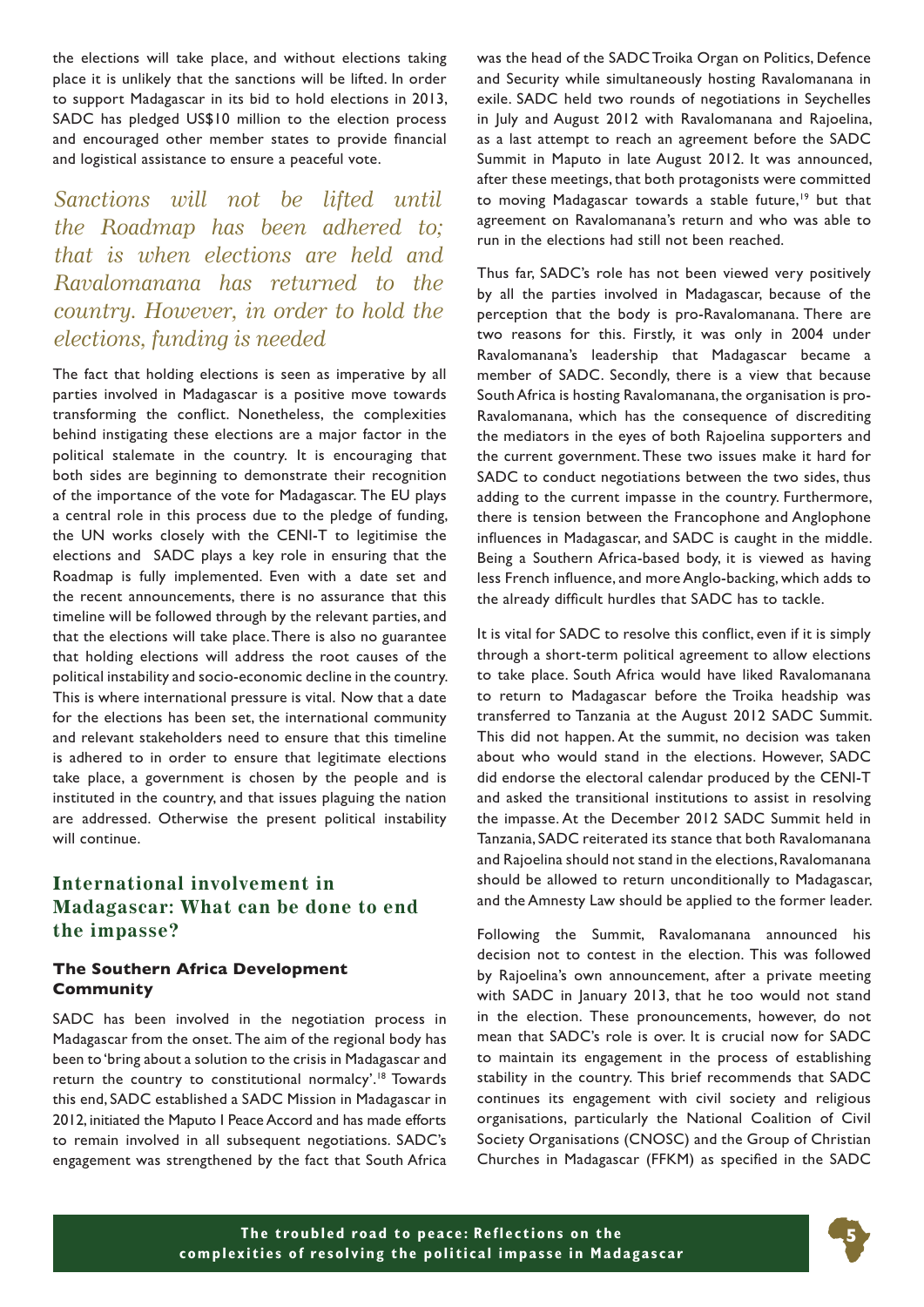the elections will take place, and without elections taking place it is unlikely that the sanctions will be lifted. In order to support Madagascar in its bid to hold elections in 2013, SADC has pledged US\$10 million to the election process and encouraged other member states to provide financial and logistical assistance to ensure a peaceful vote.

*Sanctions will not be lifted until the Roadmap has been adhered to; that is when elections are held and Ravalomanana has returned to the country. However, in order to hold the elections, funding is needed*

The fact that holding elections is seen as imperative by all parties involved in Madagascar is a positive move towards transforming the conflict. Nonetheless, the complexities behind instigating these elections are a major factor in the political stalemate in the country. It is encouraging that both sides are beginning to demonstrate their recognition of the importance of the vote for Madagascar. The EU plays a central role in this process due to the pledge of funding, the UN works closely with the CENI-T to legitimise the elections and SADC plays a key role in ensuring that the Roadmap is fully implemented. Even with a date set and the recent announcements, there is no assurance that this timeline will be followed through by the relevant parties, and that the elections will take place. There is also no guarantee that holding elections will address the root causes of the political instability and socio-economic decline in the country. This is where international pressure is vital. Now that a date for the elections has been set, the international community and relevant stakeholders need to ensure that this timeline is adhered to in order to ensure that legitimate elections take place, a government is chosen by the people and is instituted in the country, and that issues plaguing the nation are addressed. Otherwise the present political instability will continue.

## **International involvement in Madagascar: What can be done to end the impasse?**

#### **The Southern Africa Development Community**

SADC has been involved in the negotiation process in Madagascar from the onset. The aim of the regional body has been to 'bring about a solution to the crisis in Madagascar and return the country to constitutional normalcy'.18 Towards this end, SADC established a SADC Mission in Madagascar in 2012, initiated the Maputo I Peace Accord and has made efforts to remain involved in all subsequent negotiations. SADC's engagement was strengthened by the fact that South Africa

was the head of the SADC Troika Organ on Politics, Defence and Security while simultaneously hosting Ravalomanana in exile. SADC held two rounds of negotiations in Seychelles in July and August 2012 with Ravalomanana and Rajoelina, as a last attempt to reach an agreement before the SADC Summit in Maputo in late August 2012. It was announced, after these meetings, that both protagonists were committed to moving Madagascar towards a stable future,<sup>19</sup> but that agreement on Ravalomanana's return and who was able to run in the elections had still not been reached.

Thus far, SADC's role has not been viewed very positively by all the parties involved in Madagascar, because of the perception that the body is pro-Ravalomanana. There are two reasons for this. Firstly, it was only in 2004 under Ravalomanana's leadership that Madagascar became a member of SADC. Secondly, there is a view that because South Africa is hosting Ravalomanana, the organisation is pro-Ravalomanana, which has the consequence of discrediting the mediators in the eyes of both Rajoelina supporters and the current government. These two issues make it hard for SADC to conduct negotiations between the two sides, thus adding to the current impasse in the country. Furthermore, there is tension between the Francophone and Anglophone influences in Madagascar, and SADC is caught in the middle. Being a Southern Africa-based body, it is viewed as having less French influence, and more Anglo-backing, which adds to the already difficult hurdles that SADC has to tackle.

It is vital for SADC to resolve this conflict, even if it is simply through a short-term political agreement to allow elections to take place. South Africa would have liked Ravalomanana to return to Madagascar before the Troika headship was transferred to Tanzania at the August 2012 SADC Summit. This did not happen. At the summit, no decision was taken about who would stand in the elections. However, SADC did endorse the electoral calendar produced by the CENI-T and asked the transitional institutions to assist in resolving the impasse. At the December 2012 SADC Summit held in Tanzania, SADC reiterated its stance that both Ravalomanana and Rajoelina should not stand in the elections, Ravalomanana should be allowed to return unconditionally to Madagascar, and the Amnesty Law should be applied to the former leader.

Following the Summit, Ravalomanana announced his decision not to contest in the election. This was followed by Rajoelina's own announcement, after a private meeting with SADC in January 2013, that he too would not stand in the election. These pronouncements, however, do not mean that SADC's role is over. It is crucial now for SADC to maintain its engagement in the process of establishing stability in the country. This brief recommends that SADC continues its engagement with civil society and religious organisations, particularly the National Coalition of Civil Society Organisations (CNOSC) and the Group of Christian Churches in Madagascar (FFKM) as specified in the SADC

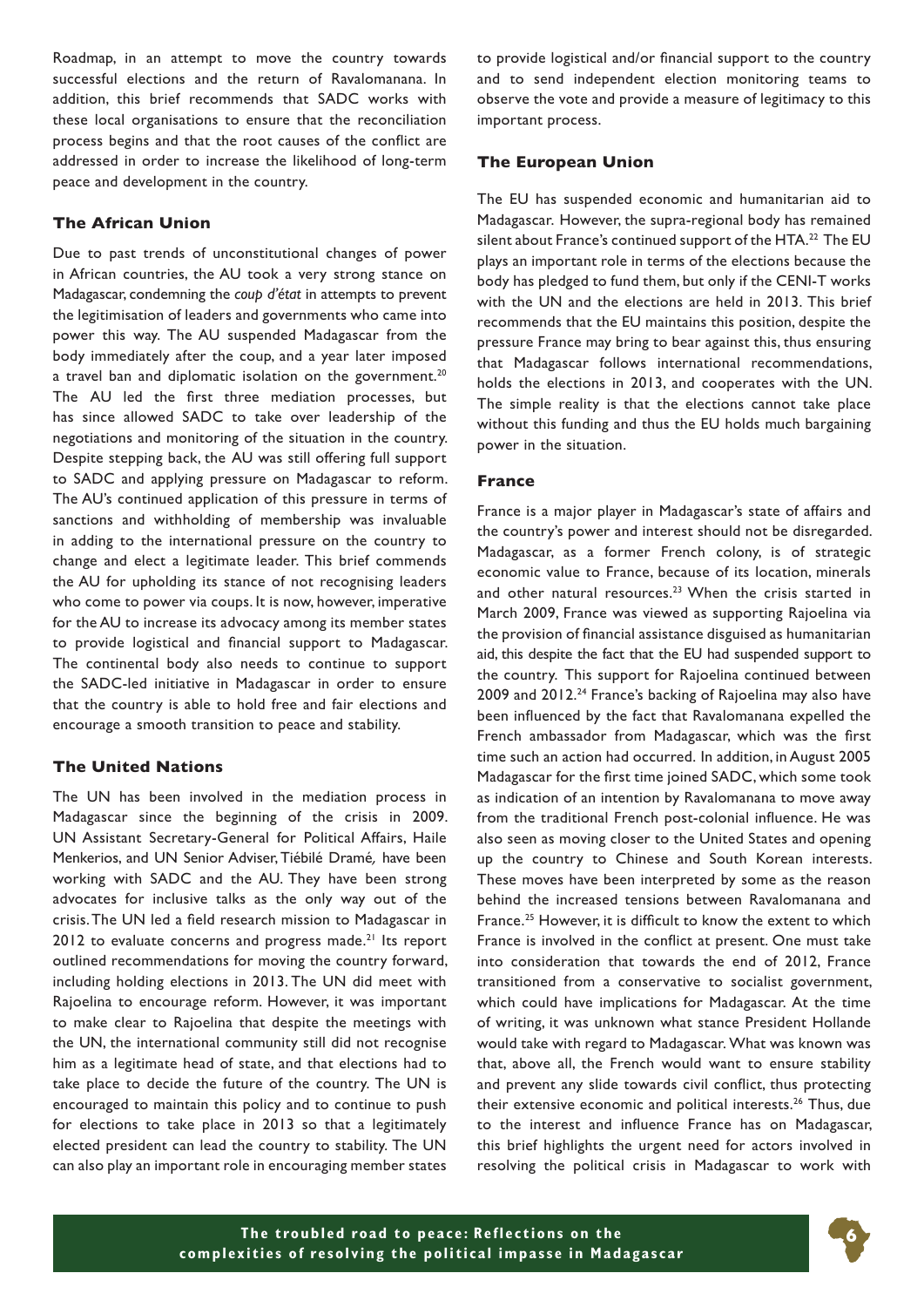Roadmap, in an attempt to move the country towards successful elections and the return of Ravalomanana. In addition, this brief recommends that SADC works with these local organisations to ensure that the reconciliation process begins and that the root causes of the conflict are addressed in order to increase the likelihood of long-term peace and development in the country.

#### **The African Union**

Due to past trends of unconstitutional changes of power in African countries, the AU took a very strong stance on Madagascar, condemning the *coup d'état* in attempts to prevent the legitimisation of leaders and governments who came into power this way. The AU suspended Madagascar from the body immediately after the coup, and a year later imposed a travel ban and diplomatic isolation on the government.<sup>20</sup> The AU led the first three mediation processes, but has since allowed SADC to take over leadership of the negotiations and monitoring of the situation in the country. Despite stepping back, the AU was still offering full support to SADC and applying pressure on Madagascar to reform. The AU's continued application of this pressure in terms of sanctions and withholding of membership was invaluable in adding to the international pressure on the country to change and elect a legitimate leader. This brief commends the AU for upholding its stance of not recognising leaders who come to power via coups. It is now, however, imperative for the AU to increase its advocacy among its member states to provide logistical and financial support to Madagascar. The continental body also needs to continue to support the SADC-led initiative in Madagascar in order to ensure that the country is able to hold free and fair elections and encourage a smooth transition to peace and stability.

#### **The United Nations**

The UN has been involved in the mediation process in Madagascar since the beginning of the crisis in 2009. UN Assistant Secretary-General for Political Affairs, Haile Menkerios, and UN Senior Adviser, Tiébilé Dramé*,* have been working with SADC and the AU. They have been strong advocates for inclusive talks as the only way out of the crisis. The UN led a field research mission to Madagascar in  $2012$  to evaluate concerns and progress made.<sup>21</sup> Its report outlined recommendations for moving the country forward, including holding elections in 2013. The UN did meet with Rajoelina to encourage reform. However, it was important to make clear to Rajoelina that despite the meetings with the UN, the international community still did not recognise him as a legitimate head of state, and that elections had to take place to decide the future of the country. The UN is encouraged to maintain this policy and to continue to push for elections to take place in 2013 so that a legitimately elected president can lead the country to stability. The UN can also play an important role in encouraging member states

to provide logistical and/or financial support to the country and to send independent election monitoring teams to observe the vote and provide a measure of legitimacy to this important process.

#### **The European Union**

The EU has suspended economic and humanitarian aid to Madagascar. However, the supra-regional body has remained silent about France's continued support of the HTA.<sup>22</sup> The EU plays an important role in terms of the elections because the body has pledged to fund them, but only if the CENI-T works with the UN and the elections are held in 2013. This brief recommends that the EU maintains this position, despite the pressure France may bring to bear against this, thus ensuring that Madagascar follows international recommendations, holds the elections in 2013, and cooperates with the UN. The simple reality is that the elections cannot take place without this funding and thus the EU holds much bargaining power in the situation.

#### **France**

France is a major player in Madagascar's state of affairs and the country's power and interest should not be disregarded. Madagascar, as a former French colony, is of strategic economic value to France, because of its location, minerals and other natural resources.<sup>23</sup> When the crisis started in March 2009, France was viewed as supporting Rajoelina via the provision of financial assistance disguised as humanitarian aid, this despite the fact that the EU had suspended support to the country.   This support for Rajoelina continued between 2009 and 2012.<sup>24</sup> France's backing of Rajoelina may also have been influenced by the fact that Ravalomanana expelled the French ambassador from Madagascar, which was the first time such an action had occurred. In addition, in August 2005 Madagascar for the first time joined SADC, which some took as indication of an intention by Ravalomanana to move away from the traditional French post-colonial influence. He was also seen as moving closer to the United States and opening up the country to Chinese and South Korean interests. These moves have been interpreted by some as the reason behind the increased tensions between Ravalomanana and France.25 However, it is difficult to know the extent to which France is involved in the conflict at present. One must take into consideration that towards the end of 2012, France transitioned from a conservative to socialist government, which could have implications for Madagascar. At the time of writing, it was unknown what stance President Hollande would take with regard to Madagascar. What was known was that, above all, the French would want to ensure stability and prevent any slide towards civil conflict, thus protecting their extensive economic and political interests.<sup>26</sup> Thus, due to the interest and influence France has on Madagascar, this brief highlights the urgent need for actors involved in resolving the political crisis in Madagascar to work with

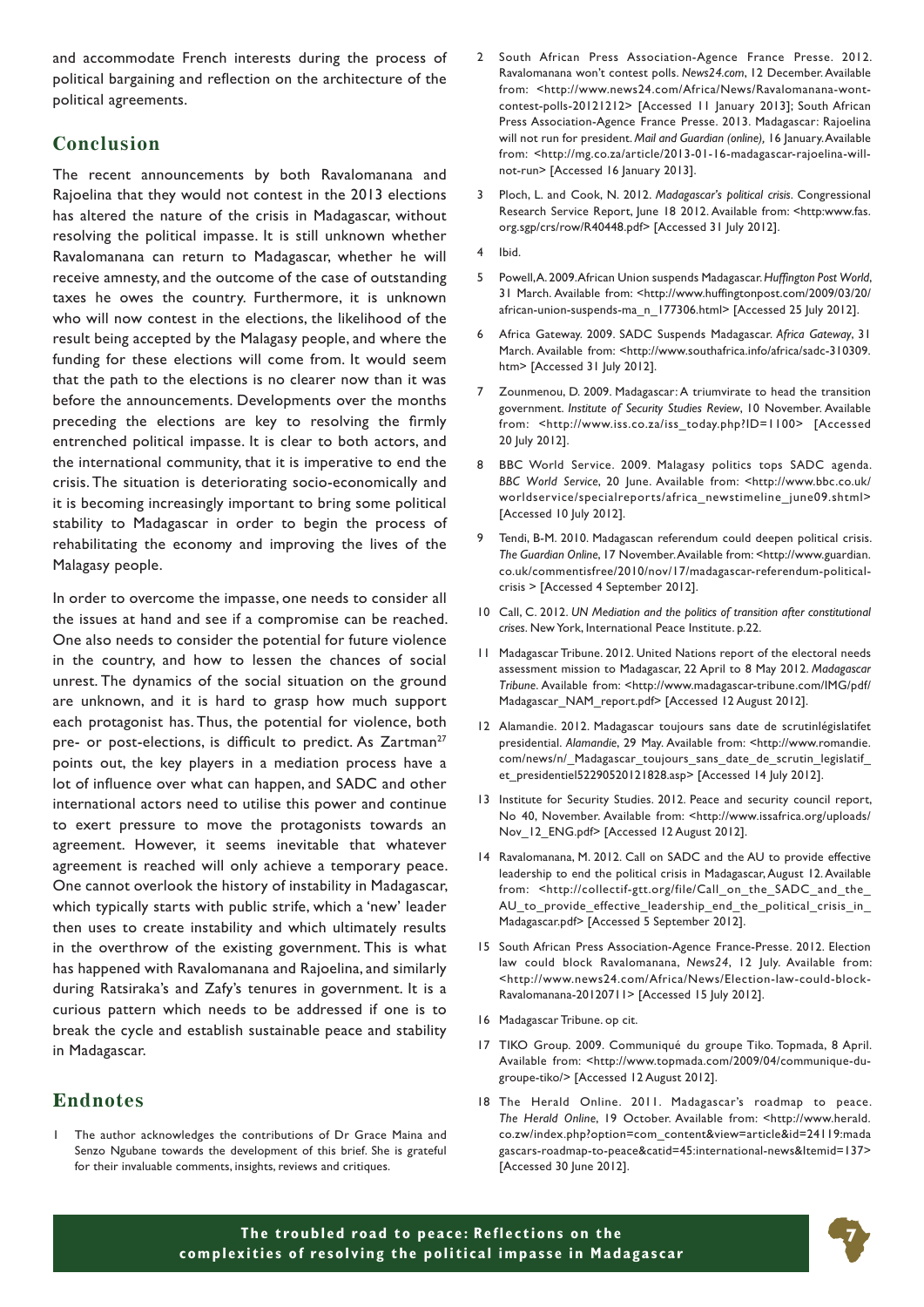and accommodate French interests during the process of political bargaining and reflection on the architecture of the political agreements.

#### **Conclusion**

The recent announcements by both Ravalomanana and Rajoelina that they would not contest in the 2013 elections has altered the nature of the crisis in Madagascar, without resolving the political impasse. It is still unknown whether Ravalomanana can return to Madagascar, whether he will receive amnesty, and the outcome of the case of outstanding taxes he owes the country. Furthermore, it is unknown who will now contest in the elections, the likelihood of the result being accepted by the Malagasy people, and where the funding for these elections will come from. It would seem that the path to the elections is no clearer now than it was before the announcements. Developments over the months preceding the elections are key to resolving the firmly entrenched political impasse. It is clear to both actors, and the international community, that it is imperative to end the crisis. The situation is deteriorating socio-economically and it is becoming increasingly important to bring some political stability to Madagascar in order to begin the process of rehabilitating the economy and improving the lives of the Malagasy people.

In order to overcome the impasse, one needs to consider all the issues at hand and see if a compromise can be reached. One also needs to consider the potential for future violence in the country, and how to lessen the chances of social unrest. The dynamics of the social situation on the ground are unknown, and it is hard to grasp how much support each protagonist has. Thus, the potential for violence, both pre- or post-elections, is difficult to predict. As Zartman<sup>27</sup> points out, the key players in a mediation process have a lot of influence over what can happen, and SADC and other international actors need to utilise this power and continue to exert pressure to move the protagonists towards an agreement. However, it seems inevitable that whatever agreement is reached will only achieve a temporary peace. One cannot overlook the history of instability in Madagascar, which typically starts with public strife, which a 'new' leader then uses to create instability and which ultimately results in the overthrow of the existing government. This is what has happened with Ravalomanana and Rajoelina, and similarly during Ratsiraka's and Zafy's tenures in government. It is a curious pattern which needs to be addressed if one is to break the cycle and establish sustainable peace and stability in Madagascar.

#### **Endnotes**

The author acknowledges the contributions of Dr Grace Maina and Senzo Ngubane towards the development of this brief. She is grateful for their invaluable comments, insights, reviews and critiques.

- 2 South African Press Association-Agence France Presse. 2012. Ravalomanana won't contest polls. *News24.com*, 12 December. Available from: <http://www.news24.com/Africa/News/Ravalomanana-wontcontest-polls-20121212> [Accessed 11 January 2013]; South African Press Association-Agence France Presse. 2013. Madagascar: Rajoelina will not run for president. *Mail and Guardian (online),* 16 January. Available from: <http://mg.co.za/article/2013-01-16-madagascar-rajoelina-willnot-run> [Accessed 16 January 2013].
- 3 Ploch, L. and Cook, N. 2012. *Madagascar's political crisis*. Congressional Research Service Report, June 18 2012. Available from: <http:www.fas. org.sgp/crs/row/R40448.pdf> [Accessed 31 July 2012].
- 4 Ibid.
- 5 Powell, A. 2009. African Union suspends Madagascar. *Huffington Post World*, 31 March. Available from: <http://www.huffingtonpost.com/2009/03/20/ african-union-suspends-ma\_n\_177306.html> [Accessed 25 July 2012].
- 6 Africa Gateway. 2009. SADC Suspends Madagascar. *Africa Gateway*, 31 March. Available from: <http://www.southafrica.info/africa/sadc-310309. htm> [Accessed 31 July 2012].
- 7 Zounmenou, D. 2009. Madagascar: A triumvirate to head the transition government. *Institute of Security Studies Review*, 10 November. Available from: <http://www.iss.co.za/iss\_today.php?ID=1100> [Accessed 20 July 2012].
- 8 BBC World Service. 2009. Malagasy politics tops SADC agenda. *BBC World Service*, 20 June. Available from: <http://www.bbc.co.uk/ worldservice/specialreports/africa\_newstimeline\_june09.shtml> [Accessed 10 July 2012].
- 9 Tendi, B-M. 2010. Madagascan referendum could deepen political crisis. *The Guardian Online*, 17 November. Available from: <http://www.guardian. co.uk/commentisfree/2010/nov/17/madagascar-referendum-politicalcrisis > [Accessed 4 September 2012].
- 10 Call, C. 2012. *UN Mediation and the politics of transition after constitutional crises*. New York, International Peace Institute. p.22.
- 11 Madagascar Tribune. 2012. United Nations report of the electoral needs assessment mission to Madagascar, 22 April to 8 May 2012. *Madagascar Tribune*. Available from: <http://www.madagascar-tribune.com/IMG/pdf/ Madagascar\_NAM\_report.pdf> [Accessed 12 August 2012].
- 12 Alamandie. 2012. Madagascar toujours sans date de scrutinlégislatifet presidential. *Alamandie*, 29 May. Available from: <http://www.romandie. com/news/n/\_Madagascar\_toujours\_sans\_date\_de\_scrutin\_legislatif\_ et\_presidentiel52290520121828.asp> [Accessed 14 July 2012].
- 13 Institute for Security Studies. 2012. Peace and security council report, No 40, November. Available from: <http://www.issafrica.org/uploads/ Nov\_12\_ENG.pdf> [Accessed 12 August 2012].
- 14 Ravalomanana, M. 2012. Call on SADC and the AU to provide effective leadership to end the political crisis in Madagascar, August 12. Available from: <http://collectif-gtt.org/file/Call\_on\_the\_SADC\_and\_the\_ AU\_to\_provide\_effective\_leadership\_end\_the\_political\_crisis\_in\_ Madagascar.pdf> [Accessed 5 September 2012].
- 15 South African Press Association-Agence France-Presse. 2012. Election law could block Ravalomanana, *News24*, 12 July. Available from: <http://www.news24.com/Africa/News/Election-law-could-block-Ravalomanana-20120711> [Accessed 15 July 2012].
- 16 Madagascar Tribune. op cit.
- 17 TIKO Group. 2009. Communiqué du groupe Tiko. Topmada, 8 April. Available from: <http://www.topmada.com/2009/04/communique-dugroupe-tiko/> [Accessed 12 August 2012].
- 18 The Herald Online. 2011. Madagascar's roadmap to peace. *The Herald Online*, 19 October. Available from: <http://www.herald. co.zw/index.php?option=com\_content&view=article&id=24119:mada gascars-roadmap-to-peace&catid=45:international-news&Itemid=137> [Accessed 30 June 2012].